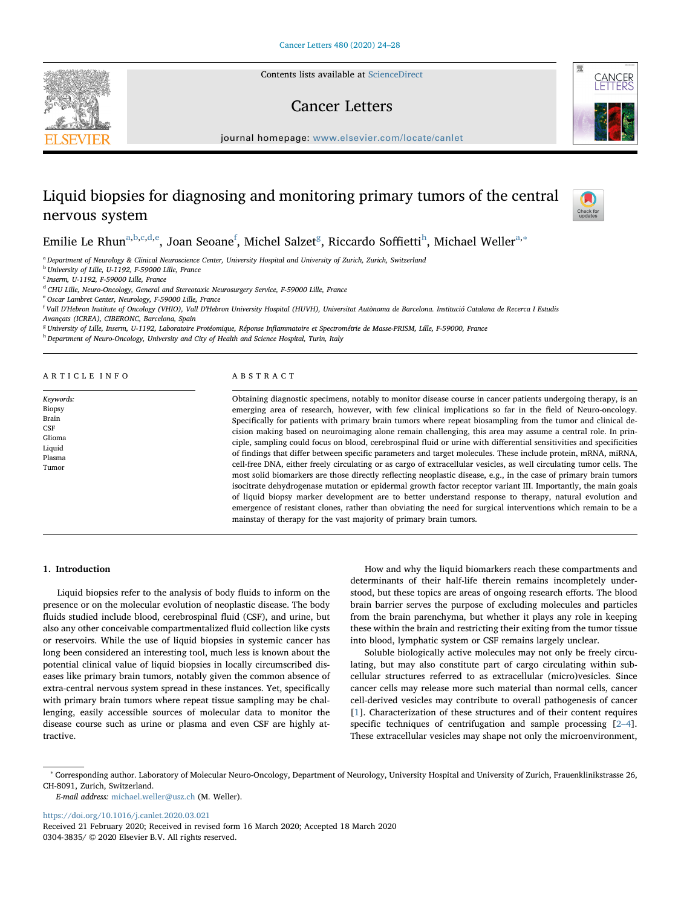Contents lists available at [ScienceDirect](http://www.sciencedirect.com/science/journal/03043835)

# Cancer Letters



journal homepage: [www.elsevier.com/locate/canlet](https://www.elsevier.com/locate/canlet)

# Liquid biopsies for diagnosing and monitoring primary tumors of the central nervous system



# Emilie Le Rhun<sup>[a](#page-0-0)[,b,](#page-0-1)[c,](#page-0-2)[d](#page-0-3),[e](#page-0-4)</sup>, Joan Seoane<sup>[f](#page-0-5)</sup>, Michel Salzet<sup>[g](#page-0-6)</sup>, Riccardo Soffietti<sup>[h](#page-0-7)</sup>, Michael Weller<sup>a,[∗](#page-0-8)</sup>

<span id="page-0-0"></span><sup>a</sup> Department of Neurology & Clinical Neuroscience Center, University Hospital and University of Zurich, Zurich, Switzerland

<span id="page-0-1"></span> $<sup>b</sup>$  University of Lille, U-1192, F-59000 Lille, France</sup>

<span id="page-0-2"></span> $c$  Inserm, U-1192, F-59000 Lille, France

<span id="page-0-3"></span><sup>d</sup> CHU Lille, Neuro-Oncology, General and Stereotaxic Neurosurgery Service, F-59000 Lille, France

<span id="page-0-4"></span><sup>e</sup> Oscar Lambret Center, Neurology, F-59000 Lille, France

<span id="page-0-5"></span>f Vall D'Hebron Institute of Oncology (VHIO), Vall D'Hebron University Hospital (HUVH), Universitat Autònoma de Barcelona. Institució Catalana de Recerca I Estudis Avançats (ICREA), CIBERONC, Barcelona, Spain

<span id="page-0-6"></span><sup>g</sup> University of Lille, Inserm, U-1192, Laboratoire Protéomique, Réponse Inflammatoire et Spectrométrie de Masse-PRISM, Lille, F-59000, France

<span id="page-0-7"></span>h Department of Neuro-Oncology, University and City of Health and Science Hospital, Turin, Italy

# ARTICLE INFO

Keywords: **Biopsy** Brain **CSF** Glioma Liquid Plasma Tumor

# ABSTRACT

Obtaining diagnostic specimens, notably to monitor disease course in cancer patients undergoing therapy, is an emerging area of research, however, with few clinical implications so far in the field of Neuro-oncology. Specifically for patients with primary brain tumors where repeat biosampling from the tumor and clinical decision making based on neuroimaging alone remain challenging, this area may assume a central role. In principle, sampling could focus on blood, cerebrospinal fluid or urine with differential sensitivities and specificities of findings that differ between specific parameters and target molecules. These include protein, mRNA, miRNA, cell-free DNA, either freely circulating or as cargo of extracellular vesicles, as well circulating tumor cells. The most solid biomarkers are those directly reflecting neoplastic disease, e.g., in the case of primary brain tumors isocitrate dehydrogenase mutation or epidermal growth factor receptor variant III. Importantly, the main goals of liquid biopsy marker development are to better understand response to therapy, natural evolution and emergence of resistant clones, rather than obviating the need for surgical interventions which remain to be a mainstay of therapy for the vast majority of primary brain tumors.

# 1. Introduction

Liquid biopsies refer to the analysis of body fluids to inform on the presence or on the molecular evolution of neoplastic disease. The body fluids studied include blood, cerebrospinal fluid (CSF), and urine, but also any other conceivable compartmentalized fluid collection like cysts or reservoirs. While the use of liquid biopsies in systemic cancer has long been considered an interesting tool, much less is known about the potential clinical value of liquid biopsies in locally circumscribed diseases like primary brain tumors, notably given the common absence of extra-central nervous system spread in these instances. Yet, specifically with primary brain tumors where repeat tissue sampling may be challenging, easily accessible sources of molecular data to monitor the disease course such as urine or plasma and even CSF are highly attractive.

How and why the liquid biomarkers reach these compartments and determinants of their half-life therein remains incompletely understood, but these topics are areas of ongoing research efforts. The blood brain barrier serves the purpose of excluding molecules and particles from the brain parenchyma, but whether it plays any role in keeping these within the brain and restricting their exiting from the tumor tissue into blood, lymphatic system or CSF remains largely unclear.

Soluble biologically active molecules may not only be freely circulating, but may also constitute part of cargo circulating within subcellular structures referred to as extracellular (micro)vesicles. Since cancer cells may release more such material than normal cells, cancer cell-derived vesicles may contribute to overall pathogenesis of cancer [[1](#page-3-0)]. Characterization of these structures and of their content requires specific techniques of centrifugation and sample processing [\[2](#page-3-1)–4]. These extracellular vesicles may shape not only the microenvironment,

E-mail address: [michael.weller@usz.ch](mailto:michael.weller@usz.ch) (M. Weller).

<https://doi.org/10.1016/j.canlet.2020.03.021>

<span id="page-0-8"></span><sup>∗</sup> Corresponding author. Laboratory of Molecular Neuro-Oncology, Department of Neurology, University Hospital and University of Zurich, Frauenklinikstrasse 26, CH-8091, Zurich, Switzerland.

Received 21 February 2020; Received in revised form 16 March 2020; Accepted 18 March 2020 0304-3835/ © 2020 Elsevier B.V. All rights reserved.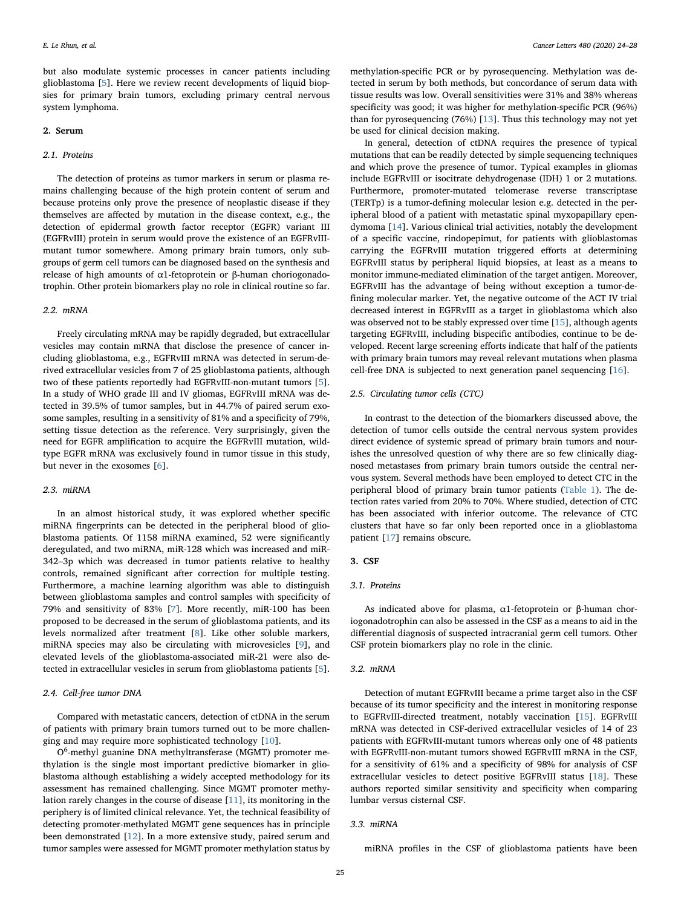but also modulate systemic processes in cancer patients including glioblastoma [[5](#page-3-2)]. Here we review recent developments of liquid biopsies for primary brain tumors, excluding primary central nervous system lymphoma.

#### 2. Serum

# 2.1. Proteins

The detection of proteins as tumor markers in serum or plasma remains challenging because of the high protein content of serum and because proteins only prove the presence of neoplastic disease if they themselves are affected by mutation in the disease context, e.g., the detection of epidermal growth factor receptor (EGFR) variant III (EGFRvIII) protein in serum would prove the existence of an EGFRvIIImutant tumor somewhere. Among primary brain tumors, only subgroups of germ cell tumors can be diagnosed based on the synthesis and release of high amounts of α1-fetoprotein or β-human choriogonadotrophin. Other protein biomarkers play no role in clinical routine so far.

#### 2.2. mRNA

Freely circulating mRNA may be rapidly degraded, but extracellular vesicles may contain mRNA that disclose the presence of cancer including glioblastoma, e.g., EGFRvIII mRNA was detected in serum-derived extracellular vesicles from 7 of 25 glioblastoma patients, although two of these patients reportedly had EGFRvIII-non-mutant tumors [[5](#page-3-2)]. In a study of WHO grade III and IV gliomas, EGFRvIII mRNA was detected in 39.5% of tumor samples, but in 44.7% of paired serum exosome samples, resulting in a sensitivity of 81% and a specificity of 79%, setting tissue detection as the reference. Very surprisingly, given the need for EGFR amplification to acquire the EGFRvIII mutation, wildtype EGFR mRNA was exclusively found in tumor tissue in this study, but never in the exosomes [\[6\]](#page-4-0).

# 2.3. miRNA

In an almost historical study, it was explored whether specific miRNA fingerprints can be detected in the peripheral blood of glioblastoma patients. Of 1158 miRNA examined, 52 were significantly deregulated, and two miRNA, miR-128 which was increased and miR-342–3p which was decreased in tumor patients relative to healthy controls, remained significant after correction for multiple testing. Furthermore, a machine learning algorithm was able to distinguish between glioblastoma samples and control samples with specificity of 79% and sensitivity of 83% [[7](#page-4-1)]. More recently, miR-100 has been proposed to be decreased in the serum of glioblastoma patients, and its levels normalized after treatment [\[8\]](#page-4-2). Like other soluble markers, miRNA species may also be circulating with microvesicles [[9](#page-4-3)], and elevated levels of the glioblastoma-associated miR-21 were also detected in extracellular vesicles in serum from glioblastoma patients [[5](#page-3-2)].

#### 2.4. Cell-free tumor DNA

Compared with metastatic cancers, detection of ctDNA in the serum of patients with primary brain tumors turned out to be more challenging and may require more sophisticated technology [\[10](#page-4-4)].

O<sup>6</sup>-methyl guanine DNA methyltransferase (MGMT) promoter methylation is the single most important predictive biomarker in glioblastoma although establishing a widely accepted methodology for its assessment has remained challenging. Since MGMT promoter methylation rarely changes in the course of disease [[11\]](#page-4-5), its monitoring in the periphery is of limited clinical relevance. Yet, the technical feasibility of detecting promoter-methylated MGMT gene sequences has in principle been demonstrated [\[12](#page-4-6)]. In a more extensive study, paired serum and tumor samples were assessed for MGMT promoter methylation status by

methylation-specific PCR or by pyrosequencing. Methylation was detected in serum by both methods, but concordance of serum data with tissue results was low. Overall sensitivities were 31% and 38% whereas specificity was good; it was higher for methylation-specific PCR (96%) than for pyrosequencing (76%) [[13\]](#page-4-7). Thus this technology may not yet be used for clinical decision making.

In general, detection of ctDNA requires the presence of typical mutations that can be readily detected by simple sequencing techniques and which prove the presence of tumor. Typical examples in gliomas include EGFRvIII or isocitrate dehydrogenase (IDH) 1 or 2 mutations. Furthermore, promoter-mutated telomerase reverse transcriptase (TERTp) is a tumor-defining molecular lesion e.g. detected in the peripheral blood of a patient with metastatic spinal myxopapillary ependymoma [[14\]](#page-4-8). Various clinical trial activities, notably the development of a specific vaccine, rindopepimut, for patients with glioblastomas carrying the EGFRvIII mutation triggered efforts at determining EGFRvIII status by peripheral liquid biopsies, at least as a means to monitor immune-mediated elimination of the target antigen. Moreover, EGFRvIII has the advantage of being without exception a tumor-defining molecular marker. Yet, the negative outcome of the ACT IV trial decreased interest in EGFRvIII as a target in glioblastoma which also was observed not to be stably expressed over time [\[15](#page-4-9)], although agents targeting EGFRvIII, including bispecific antibodies, continue to be developed. Recent large screening efforts indicate that half of the patients with primary brain tumors may reveal relevant mutations when plasma cell-free DNA is subjected to next generation panel sequencing [\[16](#page-4-10)].

#### 2.5. Circulating tumor cells (CTC)

In contrast to the detection of the biomarkers discussed above, the detection of tumor cells outside the central nervous system provides direct evidence of systemic spread of primary brain tumors and nourishes the unresolved question of why there are so few clinically diagnosed metastases from primary brain tumors outside the central nervous system. Several methods have been employed to detect CTC in the peripheral blood of primary brain tumor patients ([Table 1](#page-2-0)). The detection rates varied from 20% to 70%. Where studied, detection of CTC has been associated with inferior outcome. The relevance of CTC clusters that have so far only been reported once in a glioblastoma patient [\[17](#page-4-11)] remains obscure.

#### 3. CSF

#### 3.1. Proteins

As indicated above for plasma, α1-fetoprotein or β-human choriogonadotrophin can also be assessed in the CSF as a means to aid in the differential diagnosis of suspected intracranial germ cell tumors. Other CSF protein biomarkers play no role in the clinic.

# 3.2. mRNA

Detection of mutant EGFRvIII became a prime target also in the CSF because of its tumor specificity and the interest in monitoring response to EGFRvIII-directed treatment, notably vaccination [[15\]](#page-4-9). EGFRvIII mRNA was detected in CSF-derived extracellular vesicles of 14 of 23 patients with EGFRvIII-mutant tumors whereas only one of 48 patients with EGFRvIII-non-mutant tumors showed EGFRvIII mRNA in the CSF, for a sensitivity of 61% and a specificity of 98% for analysis of CSF extracellular vesicles to detect positive EGFRvIII status [[18\]](#page-4-12). These authors reported similar sensitivity and specificity when comparing lumbar versus cisternal CSF.

#### 3.3. miRNA

miRNA profiles in the CSF of glioblastoma patients have been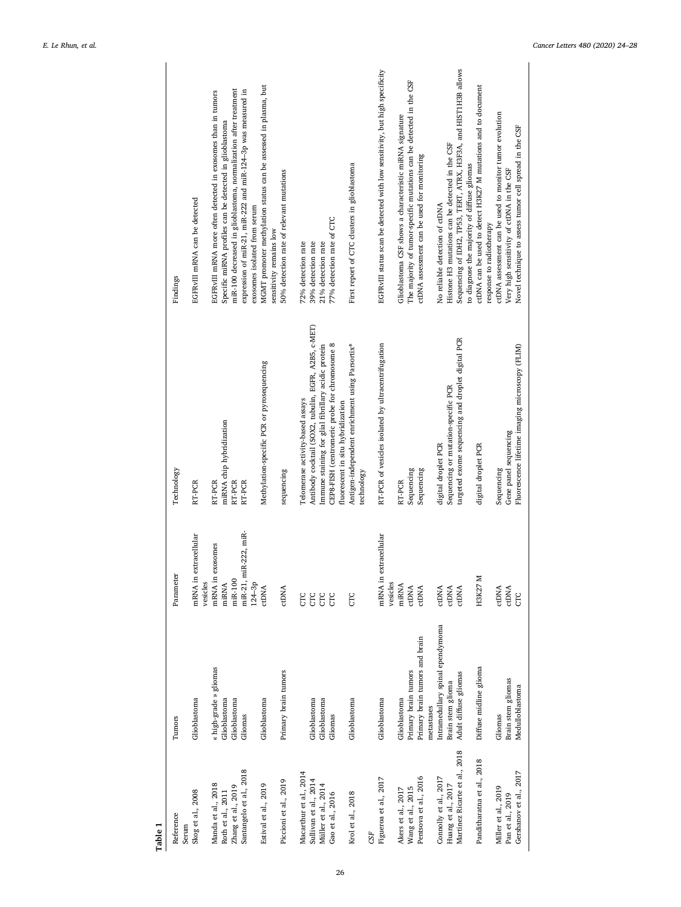<span id="page-2-0"></span>

| Table 1                                                           |                                                  |                                     |                                                                                        |                                                                                                                                                                                            |
|-------------------------------------------------------------------|--------------------------------------------------|-------------------------------------|----------------------------------------------------------------------------------------|--------------------------------------------------------------------------------------------------------------------------------------------------------------------------------------------|
| Reference<br>Serum                                                | Tumors                                           | Parameter                           | Technology                                                                             | Findings                                                                                                                                                                                   |
| Skog et al., 2008                                                 | Glioblastoma                                     | extracellular<br>mRNA in<br>vesides | RT-PCR                                                                                 | EGFRVIII mRNA can be detected                                                                                                                                                              |
| Manda et al., 2018                                                | « high-grade » gliomas                           | exosomes<br>mRNA in                 | RT-PCR                                                                                 | EGFRVIII mRNA more often detected in exosomes than in tumors                                                                                                                               |
| Roth et al., 2011                                                 | Glioblastoma                                     | miRNA                               | miRNA chip hybridization                                                               | Specific miRNA profiles can be detected in glioblastoma                                                                                                                                    |
| Zhang et al., 2019                                                | Glioblastoma                                     | miR-100                             | RT-PCR                                                                                 | miR-100 decreased in glioblastoma, normalization after treatment                                                                                                                           |
| Santangelo et al., 2018                                           | Gliomas                                          | miR-21, miR-222, miR-<br>$124 - 3p$ | RT-PCR                                                                                 | expression of miR-21, miR-222 and miR-124-3p was measured in<br>exosomes isolated from serum                                                                                               |
| Estival et al., 2019                                              | Glioblastoma                                     | <b>CLDNA</b>                        | Methylation-specific PCR or pyrosequencing                                             | MGMT promoter methylation status can be assessed in plasma, but<br>sensitivity remains low                                                                                                 |
| Piccioni et al., 2019                                             | Primary brain tumors                             | ctDNA                               | sequencing                                                                             | 50% detection rate of relevant mutations                                                                                                                                                   |
| Macarthur et al., 2014                                            |                                                  | EC                                  | Telomerase activity-based assays                                                       | 72% detection rate                                                                                                                                                                         |
| Sullivan et al., 2014                                             | Glioblastoma                                     | СTC                                 | Antibody cocktail (SOX2, tubulin, EGFR, A2B5, c-MET)                                   | 39% detection rate                                                                                                                                                                         |
| Müller et al., 2014                                               | Glioblastoma                                     | CTC                                 | Immune staining for glial fibrillary acidic protein                                    | 21% detection rate                                                                                                                                                                         |
| Gao et al., 2016                                                  | Gliomas                                          | СC                                  | CEP8-FISH (centromeric probe for chromosome 8                                          | 77% detection rate of CTC                                                                                                                                                                  |
|                                                                   |                                                  |                                     | fluorescent in situ hybridization                                                      |                                                                                                                                                                                            |
| Krol et al., 2018                                                 | Glioblastoma                                     | EC                                  | Antigen-independent enrichment using Parsortix®<br>technology                          | First report of CTC clusters in glioblastoma                                                                                                                                               |
| $^{45}$                                                           |                                                  |                                     |                                                                                        |                                                                                                                                                                                            |
| Figueroa et al., 2017                                             | Glioblastoma                                     | extracellular<br>mRNA in<br>vesides | RT-PCR of vesicles isolated by ultracentrifugation                                     | EGFRVIII status scan be detected with low sensitivity, but high specificity                                                                                                                |
| Akers et al., 2017                                                | Glioblastoma                                     | miRNA                               | RT-PCR                                                                                 | Glioblastoma CSF shows a characteristic miRNA signature                                                                                                                                    |
| Wang et al., 2015                                                 | Primary brain tumors                             | <b>CLDNA</b>                        | Sequencing                                                                             | The majority of tumor-specific mutations can be detected in the CSF                                                                                                                        |
| Pentsova et al., 2016                                             | Primary brain tumors and brain                   | ctDNA                               | Sequencing                                                                             | ctDNA assessment can be used for monitoring                                                                                                                                                |
|                                                                   | metastases                                       |                                     |                                                                                        |                                                                                                                                                                                            |
| Connolly et al., 2017                                             | ntramedullary spinal ependymoma                  | ctDNA                               | digital droplet PCR                                                                    | No reliable detection of ctDNA                                                                                                                                                             |
| Huang et al., 2017                                                | Brain stem glioma                                | ctDNA                               | Sequencing or mutation-specific PCR                                                    | Histone H3 mutations can be detected in the CSF                                                                                                                                            |
| Martinez Ricarte et al., 2018                                     | Adult diffuse gliomas                            | ctDNA                               | targeted exome sequencing and droplet digital PCR                                      | Sequencing of IDH2, TP53, TERT, ATRX, H3F3A, and HIST1H3B allows<br>to diagnose the majority of diffuse gliomas                                                                            |
| Panditharatna et al., 2018                                        | Diffuse midline glioma                           | H3K27 M                             | digital droplet PCR                                                                    | ctDNA can be used to detect H3K27 M mutations and to document                                                                                                                              |
| Gershanov et al., 2017<br>Miller et al., 2019<br>Pan et al., 2019 | Brain stem gliomas<br>Medulloblastoma<br>Gliomas | ctDNA<br>ctDNA<br>ξ                 | Fluorescence lifetime imaging microscopy (FLIM)<br>Gene panel sequencing<br>Sequencing | ctDNA assessment can be used to monitor tumor evolution<br>Novel technique to assess tumor cell spread in the CSF<br>Very high sensitivity of ctDNA in the CSF<br>response to radiotherapy |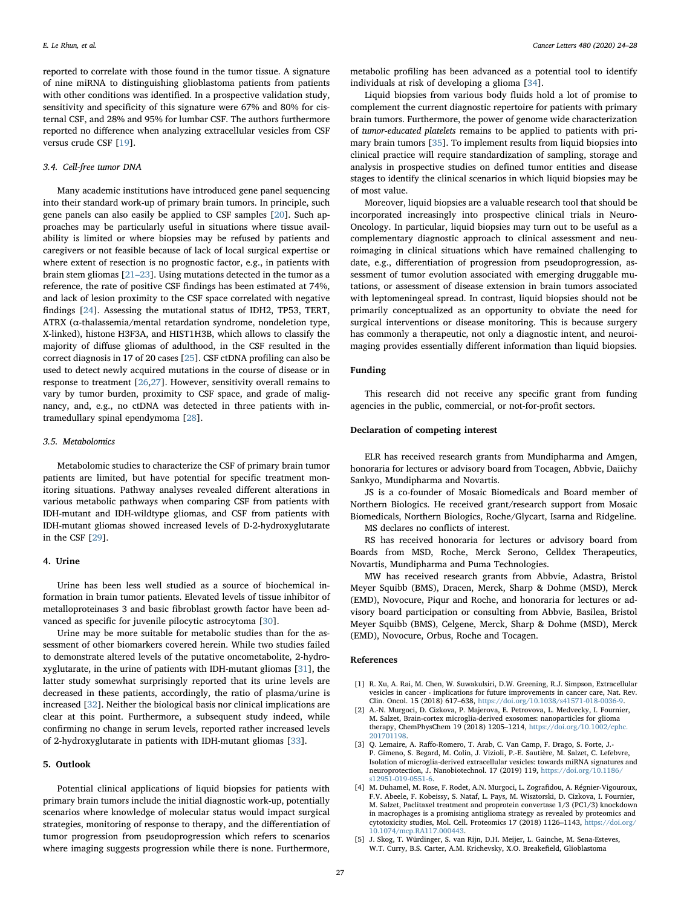reported to correlate with those found in the tumor tissue. A signature of nine miRNA to distinguishing glioblastoma patients from patients with other conditions was identified. In a prospective validation study, sensitivity and specificity of this signature were 67% and 80% for cisternal CSF, and 28% and 95% for lumbar CSF. The authors furthermore reported no difference when analyzing extracellular vesicles from CSF versus crude CSF [\[19](#page-4-13)].

# 3.4. Cell-free tumor DNA

Many academic institutions have introduced gene panel sequencing into their standard work-up of primary brain tumors. In principle, such gene panels can also easily be applied to CSF samples [[20\]](#page-4-14). Such approaches may be particularly useful in situations where tissue availability is limited or where biopsies may be refused by patients and caregivers or not feasible because of lack of local surgical expertise or where extent of resection is no prognostic factor, e.g., in patients with brain stem gliomas [\[21](#page-4-15)–23]. Using mutations detected in the tumor as a reference, the rate of positive CSF findings has been estimated at 74%, and lack of lesion proximity to the CSF space correlated with negative findings [[24\]](#page-4-16). Assessing the mutational status of IDH2, TP53, TERT, ATRX (α-thalassemia/mental retardation syndrome, nondeletion type, X-linked), histone H3F3A, and HIST1H3B, which allows to classify the majority of diffuse gliomas of adulthood, in the CSF resulted in the correct diagnosis in 17 of 20 cases [\[25](#page-4-17)]. CSF ctDNA profiling can also be used to detect newly acquired mutations in the course of disease or in response to treatment [[26,](#page-4-18)[27\]](#page-4-19). However, sensitivity overall remains to vary by tumor burden, proximity to CSF space, and grade of malignancy, and, e.g., no ctDNA was detected in three patients with intramedullary spinal ependymoma [\[28](#page-4-20)].

# 3.5. Metabolomics

Metabolomic studies to characterize the CSF of primary brain tumor patients are limited, but have potential for specific treatment monitoring situations. Pathway analyses revealed different alterations in various metabolic pathways when comparing CSF from patients with IDH-mutant and IDH-wildtype gliomas, and CSF from patients with IDH-mutant gliomas showed increased levels of D-2-hydroxyglutarate in the CSF [[29\]](#page-4-21).

#### 4. Urine

Urine has been less well studied as a source of biochemical information in brain tumor patients. Elevated levels of tissue inhibitor of metalloproteinases 3 and basic fibroblast growth factor have been advanced as specific for juvenile pilocytic astrocytoma [[30\]](#page-4-22).

Urine may be more suitable for metabolic studies than for the assessment of other biomarkers covered herein. While two studies failed to demonstrate altered levels of the putative oncometabolite, 2-hydroxyglutarate, in the urine of patients with IDH-mutant gliomas [[31\]](#page-4-23), the latter study somewhat surprisingly reported that its urine levels are decreased in these patients, accordingly, the ratio of plasma/urine is increased [\[32](#page-4-24)]. Neither the biological basis nor clinical implications are clear at this point. Furthermore, a subsequent study indeed, while confirming no change in serum levels, reported rather increased levels of 2-hydroxyglutarate in patients with IDH-mutant gliomas [\[33](#page-4-25)].

# 5. Outlook

Potential clinical applications of liquid biopsies for patients with primary brain tumors include the initial diagnostic work-up, potentially scenarios where knowledge of molecular status would impact surgical strategies, monitoring of response to therapy, and the differentiation of tumor progression from pseudoprogression which refers to scenarios where imaging suggests progression while there is none. Furthermore,

metabolic profiling has been advanced as a potential tool to identify individuals at risk of developing a glioma [\[34](#page-4-26)].

Liquid biopsies from various body fluids hold a lot of promise to complement the current diagnostic repertoire for patients with primary brain tumors. Furthermore, the power of genome wide characterization of tumor-educated platelets remains to be applied to patients with primary brain tumors [[35\]](#page-4-27). To implement results from liquid biopsies into clinical practice will require standardization of sampling, storage and analysis in prospective studies on defined tumor entities and disease stages to identify the clinical scenarios in which liquid biopsies may be of most value.

Moreover, liquid biopsies are a valuable research tool that should be incorporated increasingly into prospective clinical trials in Neuro-Oncology. In particular, liquid biopsies may turn out to be useful as a complementary diagnostic approach to clinical assessment and neuroimaging in clinical situations which have remained challenging to date, e.g., differentiation of progression from pseudoprogression, assessment of tumor evolution associated with emerging druggable mutations, or assessment of disease extension in brain tumors associated with leptomeningeal spread. In contrast, liquid biopsies should not be primarily conceptualized as an opportunity to obviate the need for surgical interventions or disease monitoring. This is because surgery has commonly a therapeutic, not only a diagnostic intent, and neuroimaging provides essentially different information than liquid biopsies.

#### Funding

This research did not receive any specific grant from funding agencies in the public, commercial, or not-for-profit sectors.

# Declaration of competing interest

ELR has received research grants from Mundipharma and Amgen, honoraria for lectures or advisory board from Tocagen, Abbvie, Daiichy Sankyo, Mundipharma and Novartis.

JS is a co-founder of Mosaic Biomedicals and Board member of Northern Biologics. He received grant/research support from Mosaic Biomedicals, Northern Biologics, Roche/Glycart, Isarna and Ridgeline.

MS declares no conflicts of interest.

RS has received honoraria for lectures or advisory board from Boards from MSD, Roche, Merck Serono, Celldex Therapeutics, Novartis, Mundipharma and Puma Technologies.

MW has received research grants from Abbvie, Adastra, Bristol Meyer Squibb (BMS), Dracen, Merck, Sharp & Dohme (MSD), Merck (EMD), Novocure, Piqur and Roche, and honoraria for lectures or advisory board participation or consulting from Abbvie, Basilea, Bristol Meyer Squibb (BMS), Celgene, Merck, Sharp & Dohme (MSD), Merck (EMD), Novocure, Orbus, Roche and Tocagen.

#### References

- <span id="page-3-0"></span>[1] R. Xu, A. Rai, M. Chen, W. Suwakulsiri, D.W. Greening, R.J. Simpson, Extracellular vesicles in cancer - implications for future improvements in cancer care, Nat. Rev. Clin. Oncol. 15 (2018) 617–638, [https://doi.org/10.1038/s41571-018-0036-9.](https://doi.org/10.1038/s41571-018-0036-9)
- <span id="page-3-1"></span>[2] A.-N. Murgoci, D. Cizkova, P. Majerova, E. Petrovova, L. Medvecky, I. Fournier, M. Salzet, Brain-cortex microglia-derived exosomes: nanoparticles for glioma therapy, ChemPhysChem 19 (2018) 1205–1214, [https://doi.org/10.1002/cphc.](https://doi.org/10.1002/cphc.201701198) [201701198.](https://doi.org/10.1002/cphc.201701198)
- [3] Q. Lemaire, A. Raffo-Romero, T. Arab, C. Van Camp, F. Drago, S. Forte, J.- P. Gimeno, S. Begard, M. Colin, J. Vizioli, P.-E. Sautière, M. Salzet, C. Lefebvre, Isolation of microglia-derived extracellular vesicles: towards miRNA signatures and neuroprotection, J. Nanobiotechnol. 17 (2019) 119, [https://doi.org/10.1186/](https://doi.org/10.1186/s12951-019-0551-6) [s12951-019-0551-6.](https://doi.org/10.1186/s12951-019-0551-6)
- [4] M. Duhamel, M. Rose, F. Rodet, A.N. Murgoci, L. Zografidou, A. Régnier-Vigouroux, F.V. Abeele, F. Kobeissy, S. Nataf, L. Pays, M. Wisztorski, D. Cizkova, I. Fournier, M. Salzet, Paclitaxel treatment and proprotein convertase 1/3 (PC1/3) knockdown in macrophages is a promising antiglioma strategy as revealed by proteomics and cytotoxicity studies, Mol. Cell. Proteomics 17 (2018) 1126–1143, [https://doi.org/](https://doi.org/10.1074/mcp.RA117.000443) [10.1074/mcp.RA117.000443.](https://doi.org/10.1074/mcp.RA117.000443)
- <span id="page-3-2"></span>[5] J. Skog, T. Würdinger, S. van Rijn, D.H. Meijer, L. Gainche, M. Sena-Esteves, W.T. Curry, B.S. Carter, A.M. Krichevsky, X.O. Breakefield, Glioblastoma